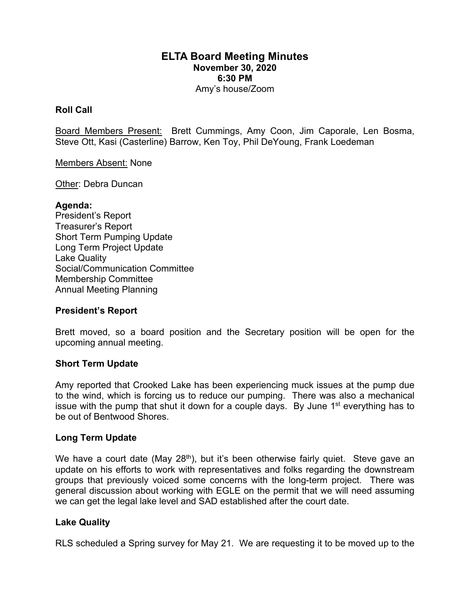# **ELTA Board Meeting Minutes November 30, 2020 6:30 PM** Amy's house/Zoom

## **Roll Call**

Board Members Present: Brett Cummings, Amy Coon, Jim Caporale, Len Bosma, Steve Ott, Kasi (Casterline) Barrow, Ken Toy, Phil DeYoung, Frank Loedeman

#### Members Absent: None

Other: Debra Duncan

### **Agenda:**

President's Report Treasurer's Report Short Term Pumping Update Long Term Project Update Lake Quality Social/Communication Committee Membership Committee Annual Meeting Planning

### **President's Report**

Brett moved, so a board position and the Secretary position will be open for the upcoming annual meeting.

### **Short Term Update**

Amy reported that Crooked Lake has been experiencing muck issues at the pump due to the wind, which is forcing us to reduce our pumping. There was also a mechanical issue with the pump that shut it down for a couple days. By June 1<sup>st</sup> everything has to be out of Bentwood Shores.

### **Long Term Update**

We have a court date (May  $28<sup>th</sup>$ ), but it's been otherwise fairly quiet. Steve gave an update on his efforts to work with representatives and folks regarding the downstream groups that previously voiced some concerns with the long-term project. There was general discussion about working with EGLE on the permit that we will need assuming we can get the legal lake level and SAD established after the court date.

### **Lake Quality**

RLS scheduled a Spring survey for May 21. We are requesting it to be moved up to the